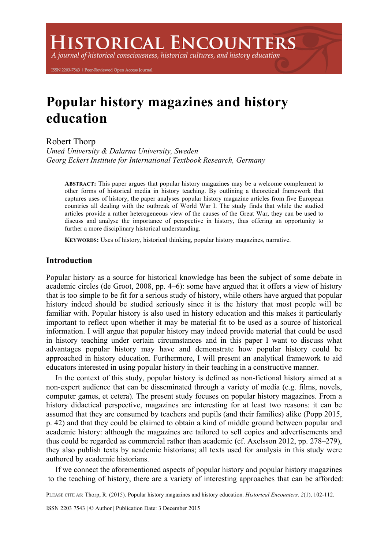**ISTORICAL ENCOUNTERS** 

A journal of historical consciousness, historical cultures, and history education

ISSN 2203-7543 | Peer-Reviewed Open Access Journal

# **Popular history magazines and history education**

Robert Thorp

*Umeå University & Dalarna University, Sweden Georg Eckert Institute for International Textbook Research, Germany*

**ABSTRACT:** This paper argues that popular history magazines may be a welcome complement to other forms of historical media in history teaching. By outlining a theoretical framework that captures uses of history, the paper analyses popular history magazine articles from five European countries all dealing with the outbreak of World War I. The study finds that while the studied articles provide a rather heterogeneous view of the causes of the Great War, they can be used to discuss and analyse the importance of perspective in history, thus offering an opportunity to further a more disciplinary historical understanding.

**KEYWORDS:** Uses of history, historical thinking, popular history magazines, narrative.

## **Introduction**

Popular history as a source for historical knowledge has been the subject of some debate in academic circles (de Groot, 2008, pp. 4–6): some have argued that it offers a view of history that is too simple to be fit for a serious study of history, while others have argued that popular history indeed should be studied seriously since it is the history that most people will be familiar with. Popular history is also used in history education and this makes it particularly important to reflect upon whether it may be material fit to be used as a source of historical information. I will argue that popular history may indeed provide material that could be used in history teaching under certain circumstances and in this paper I want to discuss what advantages popular history may have and demonstrate how popular history could be approached in history education. Furthermore, I will present an analytical framework to aid educators interested in using popular history in their teaching in a constructive manner.

In the context of this study, popular history is defined as non-fictional history aimed at a non-expert audience that can be disseminated through a variety of media (e.g. films, novels, computer games, et cetera). The present study focuses on popular history magazines. From a history didactical perspective, magazines are interesting for at least two reasons: it can be assumed that they are consumed by teachers and pupils (and their families) alike (Popp 2015, p. 42) and that they could be claimed to obtain a kind of middle ground between popular and academic history: although the magazines are tailored to sell copies and advertisements and thus could be regarded as commercial rather than academic (cf. Axelsson 2012, pp. 278–279), they also publish texts by academic historians; all texts used for analysis in this study were authored by academic historians.

If we connect the aforementioned aspects of popular history and popular history magazines to the teaching of history, there are a variety of interesting approaches that can be afforded:

PLEASE CITE AS: Thorp, R. (2015). Popular history magazines and history education. *Historical Encounters, 2*(1), 102-112.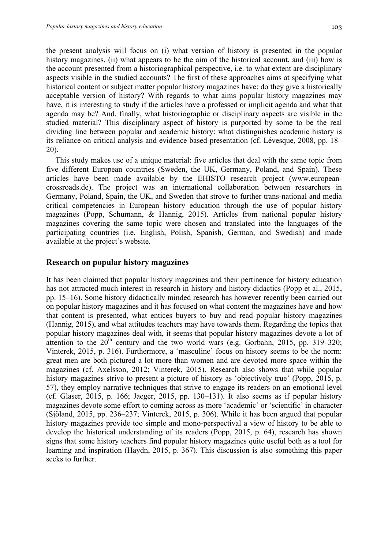the present analysis will focus on (i) what version of history is presented in the popular history magazines, (ii) what appears to be the aim of the historical account, and (iii) how is the account presented from a historiographical perspective, i.e. to what extent are disciplinary aspects visible in the studied accounts? The first of these approaches aims at specifying what historical content or subject matter popular history magazines have: do they give a historically acceptable version of history? With regards to what aims popular history magazines may have, it is interesting to study if the articles have a professed or implicit agenda and what that agenda may be? And, finally, what historiographic or disciplinary aspects are visible in the studied material? This disciplinary aspect of history is purported by some to be the real dividing line between popular and academic history: what distinguishes academic history is its reliance on critical analysis and evidence based presentation (cf. Lévesque, 2008, pp. 18– 20).

This study makes use of a unique material: five articles that deal with the same topic from five different European countries (Sweden, the UK, Germany, Poland, and Spain). These articles have been made available by the EHISTO research project (www.europeancrossroads.de). The project was an international collaboration between researchers in Germany, Poland, Spain, the UK, and Sweden that strove to further trans-national and media critical competencies in European history education through the use of popular history magazines (Popp, Schumann, & Hannig, 2015). Articles from national popular history magazines covering the same topic were chosen and translated into the languages of the participating countries (i.e. English, Polish, Spanish, German, and Swedish) and made available at the project's website.

#### **Research on popular history magazines**

It has been claimed that popular history magazines and their pertinence for history education has not attracted much interest in research in history and history didactics (Popp et al., 2015, pp. 15–16). Some history didactically minded research has however recently been carried out on popular history magazines and it has focused on what content the magazines have and how that content is presented, what entices buyers to buy and read popular history magazines (Hannig, 2015), and what attitudes teachers may have towards them. Regarding the topics that popular history magazines deal with, it seems that popular history magazines devote a lot of attention to the  $20^{th}$  century and the two world wars (e.g. Gorbahn, 2015, pp. 319–320; Vinterek, 2015, p. 316). Furthermore, a 'masculine' focus on history seems to be the norm: great men are both pictured a lot more than women and are devoted more space within the magazines (cf. Axelsson, 2012; Vinterek, 2015). Research also shows that while popular history magazines strive to present a picture of history as 'objectively true' (Popp, 2015, p. 57), they employ narrative techniques that strive to engage its readers on an emotional level (cf. Glaser, 2015, p. 166; Jaeger, 2015, pp. 130–131). It also seems as if popular history magazines devote some effort to coming across as more 'academic' or 'scientific' in character (Sjöland, 2015, pp. 236–237; Vinterek, 2015, p. 306). While it has been argued that popular history magazines provide too simple and mono-perspectival a view of history to be able to develop the historical understanding of its readers (Popp, 2015, p. 64), research has shown signs that some history teachers find popular history magazines quite useful both as a tool for learning and inspiration (Haydn, 2015, p. 367). This discussion is also something this paper seeks to further.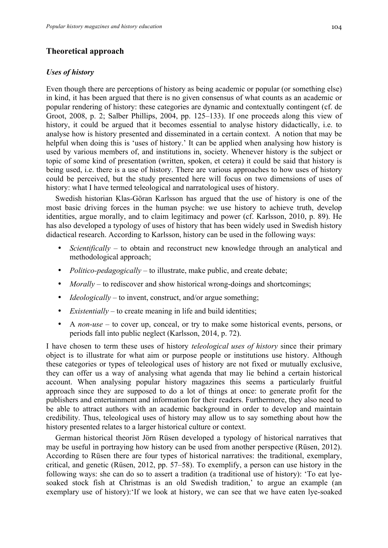# **Theoretical approach**

#### *Uses of history*

Even though there are perceptions of history as being academic or popular (or something else) in kind, it has been argued that there is no given consensus of what counts as an academic or popular rendering of history: these categories are dynamic and contextually contingent (cf. de Groot, 2008, p. 2; Salber Phillips, 2004, pp. 125–133). If one proceeds along this view of history, it could be argued that it becomes essential to analyse history didactically, i.e. to analyse how is history presented and disseminated in a certain context. A notion that may be helpful when doing this is 'uses of history.' It can be applied when analysing how history is used by various members of, and institutions in, society. Whenever history is the subject or topic of some kind of presentation (written, spoken, et cetera) it could be said that history is being used, i.e. there is a use of history. There are various approaches to how uses of history could be perceived, but the study presented here will focus on two dimensions of uses of history: what I have termed teleological and narratological uses of history.

Swedish historian Klas-Göran Karlsson has argued that the use of history is one of the most basic driving forces in the human psyche: we use history to achieve truth, develop identities, argue morally, and to claim legitimacy and power (cf. Karlsson, 2010, p. 89). He has also developed a typology of uses of history that has been widely used in Swedish history didactical research. According to Karlsson, history can be used in the following ways:

- *Scientifically* to obtain and reconstruct new knowledge through an analytical and methodological approach;
- *Politico-pedagogically* to illustrate, make public, and create debate;
- *Morally* to rediscover and show historical wrong-doings and shortcomings:
- *Ideologically* to invent, construct, and/or argue something;
- *Existentially* to create meaning in life and build identities;
- A *non-use* to cover up, conceal, or try to make some historical events, persons, or periods fall into public neglect (Karlsson, 2014, p. 72).

I have chosen to term these uses of history *teleological uses of history* since their primary object is to illustrate for what aim or purpose people or institutions use history. Although these categories or types of teleological uses of history are not fixed or mutually exclusive, they can offer us a way of analysing what agenda that may lie behind a certain historical account. When analysing popular history magazines this seems a particularly fruitful approach since they are supposed to do a lot of things at once: to generate profit for the publishers and entertainment and information for their readers. Furthermore, they also need to be able to attract authors with an academic background in order to develop and maintain credibility. Thus, teleological uses of history may allow us to say something about how the history presented relates to a larger historical culture or context.

German historical theorist Jörn Rüsen developed a typology of historical narratives that may be useful in portraying how history can be used from another perspective (Rüsen, 2012). According to Rüsen there are four types of historical narratives: the traditional, exemplary, critical, and genetic (Rüsen, 2012, pp. 57–58). To exemplify, a person can use history in the following ways: she can do so to assert a tradition (a traditional use of history): 'To eat lyesoaked stock fish at Christmas is an old Swedish tradition,' to argue an example (an exemplary use of history):'If we look at history, we can see that we have eaten lye-soaked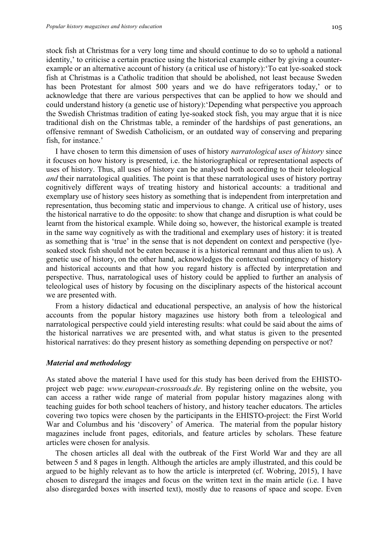stock fish at Christmas for a very long time and should continue to do so to uphold a national identity,' to criticise a certain practice using the historical example either by giving a counterexample or an alternative account of history (a critical use of history):'To eat lye-soaked stock fish at Christmas is a Catholic tradition that should be abolished, not least because Sweden has been Protestant for almost 500 years and we do have refrigerators today,' or to acknowledge that there are various perspectives that can be applied to how we should and could understand history (a genetic use of history):'Depending what perspective you approach the Swedish Christmas tradition of eating lye-soaked stock fish, you may argue that it is nice traditional dish on the Christmas table, a reminder of the hardships of past generations, an offensive remnant of Swedish Catholicism, or an outdated way of conserving and preparing fish, for instance.'

I have chosen to term this dimension of uses of history *narratological uses of history* since it focuses on how history is presented, i.e. the historiographical or representational aspects of uses of history. Thus, all uses of history can be analysed both according to their teleological *and* their narratological qualities. The point is that these narratological uses of history portray cognitively different ways of treating history and historical accounts: a traditional and exemplary use of history sees history as something that is independent from interpretation and representation, thus becoming static and impervious to change. A critical use of history, uses the historical narrative to do the opposite: to show that change and disruption is what could be learnt from the historical example. While doing so, however, the historical example is treated in the same way cognitively as with the traditional and exemplary uses of history: it is treated as something that is 'true' in the sense that is not dependent on context and perspective (lyesoaked stock fish should not be eaten because it is a historical remnant and thus alien to us). A genetic use of history, on the other hand, acknowledges the contextual contingency of history and historical accounts and that how you regard history is affected by interpretation and perspective. Thus, narratological uses of history could be applied to further an analysis of teleological uses of history by focusing on the disciplinary aspects of the historical account we are presented with.

From a history didactical and educational perspective, an analysis of how the historical accounts from the popular history magazines use history both from a teleological and narratological perspective could yield interesting results: what could be said about the aims of the historical narratives we are presented with, and what status is given to the presented historical narratives: do they present history as something depending on perspective or not?

#### *Material and methodology*

As stated above the material I have used for this study has been derived from the EHISTOproject web page: *www.european-crossroads.de*. By registering online on the website, you can access a rather wide range of material from popular history magazines along with teaching guides for both school teachers of history, and history teacher educators. The articles covering two topics were chosen by the participants in the EHISTO-project: the First World War and Columbus and his 'discovery' of America. The material from the popular history magazines include front pages, editorials, and feature articles by scholars. These feature articles were chosen for analysis.

The chosen articles all deal with the outbreak of the First World War and they are all between 5 and 8 pages in length. Although the articles are amply illustrated, and this could be argued to be highly relevant as to how the article is interpreted (cf. Wobring, 2015), I have chosen to disregard the images and focus on the written text in the main article (i.e. I have also disregarded boxes with inserted text), mostly due to reasons of space and scope. Even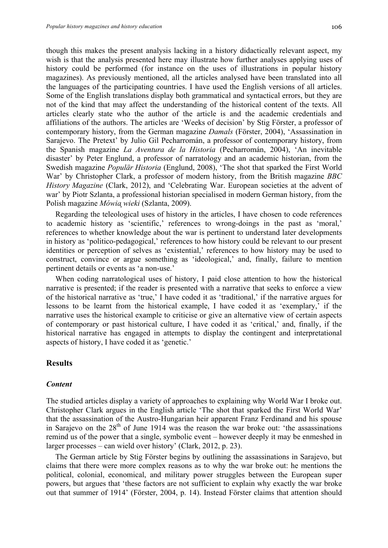though this makes the present analysis lacking in a history didactically relevant aspect, my wish is that the analysis presented here may illustrate how further analyses applying uses of history could be performed (for instance on the uses of illustrations in popular history magazines). As previously mentioned, all the articles analysed have been translated into all the languages of the participating countries. I have used the English versions of all articles. Some of the English translations display both grammatical and syntactical errors, but they are not of the kind that may affect the understanding of the historical content of the texts. All articles clearly state who the author of the article is and the academic credentials and affiliations of the authors. The articles are 'Weeks of decision' by Stig Förster, a professor of contemporary history, from the German magazine *Damals* (Förster, 2004), 'Assassination in Sarajevo. The Pretext' by Julio Gil Pecharromán, a professor of contemporary history, from the Spanish magazine *La Aventura de la Historia* (Pecharromán, 2004), 'An inevitable disaster' by Peter Englund, a professor of narratology and an academic historian, from the Swedish magazine *Populär Historia* (Englund, 2008), 'The shot that sparked the First World War' by Christopher Clark, a professor of modern history, from the British magazine *BBC History Magazine* (Clark, 2012), and 'Celebrating War. European societies at the advent of war' by Piotr Szlanta, a professional historian specialised in modern German history, from the Polish magazine *Mówiᶏ wieki* (Szlanta, 2009).

Regarding the teleological uses of history in the articles, I have chosen to code references to academic history as 'scientific,' references to wrong-doings in the past as 'moral,' references to whether knowledge about the war is pertinent to understand later developments in history as 'politico-pedagogical,' references to how history could be relevant to our present identities or perception of selves as 'existential,' references to how history may be used to construct, convince or argue something as 'ideological,' and, finally, failure to mention pertinent details or events as 'a non-use.'

When coding narratological uses of history, I paid close attention to how the historical narrative is presented; if the reader is presented with a narrative that seeks to enforce a view of the historical narrative as 'true,' I have coded it as 'traditional,' if the narrative argues for lessons to be learnt from the historical example, I have coded it as 'exemplary,' if the narrative uses the historical example to criticise or give an alternative view of certain aspects of contemporary or past historical culture, I have coded it as 'critical,' and, finally, if the historical narrative has engaged in attempts to display the contingent and interpretational aspects of history, I have coded it as 'genetic.'

## **Results**

## *Content*

The studied articles display a variety of approaches to explaining why World War I broke out. Christopher Clark argues in the English article 'The shot that sparked the First World War' that the assassination of the Austro-Hungarian heir apparent Franz Ferdinand and his spouse in Sarajevo on the  $28<sup>th</sup>$  of June 1914 was the reason the war broke out: 'the assassinations remind us of the power that a single, symbolic event – however deeply it may be enmeshed in larger processes – can wield over history' (Clark, 2012, p. 23).

The German article by Stig Förster begins by outlining the assassinations in Sarajevo, but claims that there were more complex reasons as to why the war broke out: he mentions the political, colonial, economical, and military power struggles between the European super powers, but argues that 'these factors are not sufficient to explain why exactly the war broke out that summer of 1914' (Förster, 2004, p. 14). Instead Förster claims that attention should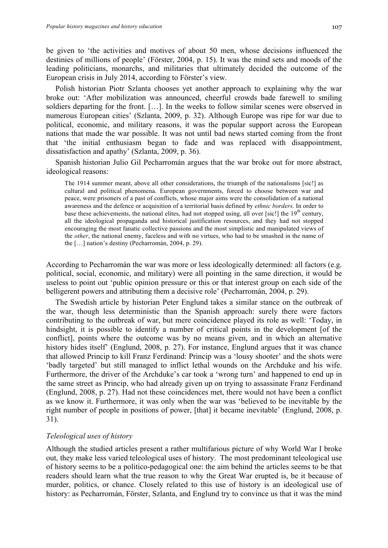be given to 'the activities and motives of about 50 men, whose decisions influenced the destinies of millions of people' (Förster, 2004, p. 15). It was the mind sets and moods of the leading politicians, monarchs, and militaries that ultimately decided the outcome of the European crisis in July 2014, according to Förster's view.

Polish historian Piotr Szlanta chooses yet another approach to explaining why the war broke out: 'After mobilization was announced, cheerful crowds bade farewell to smiling soldiers departing for the front. […]. In the weeks to follow similar scenes were observed in numerous European cities' (Szlanta, 2009, p. 32). Although Europe was ripe for war due to political, economic, and military reasons, it was the popular support across the European nations that made the war possible. It was not until bad news started coming from the front that 'the initial enthusiasm began to fade and was replaced with disappointment, dissatisfaction and apathy' (Szlanta, 2009, p. 36).

Spanish historian Julio Gil Pecharromán argues that the war broke out for more abstract, ideological reasons:

The 1914 summer meant, above all other considerations, the triumph of the nationalisms [sic!] as cultural and political phenomena. European governments, forced to choose between war and peace, were prisoners of a past of conflicts, whose major aims were the consolidation of a national awareness and the defence or acquisition of a territorial basis defined by *ethnic borders*. In order to base these achievements, the national elites, had not stopped using, all over [sic!] the  $19<sup>th</sup>$  century, all the ideological propaganda and historical justification resources, and they had not stopped encouraging the most fanatic collective passions and the most simplistic and manipulated views of the *other*, the national enemy, faceless and with no virtues, who had to be smashed in the name of the […] nation's destiny (Pecharromán, 2004, p. 29).

According to Pecharromán the war was more or less ideologically determined: all factors (e.g. political, social, economic, and military) were all pointing in the same direction, it would be useless to point out 'public opinion pressure or this or that interest group on each side of the belligerent powers and attributing them a decisive role' (Pecharromán, 2004, p. 29).

The Swedish article by historian Peter Englund takes a similar stance on the outbreak of the war, though less deterministic than the Spanish approach: surely there were factors contributing to the outbreak of war, but mere coincidence played its role as well: 'Today, in hindsight, it is possible to identify a number of critical points in the development [of the conflict], points where the outcome was by no means given, and in which an alternative history hides itself' (Englund, 2008, p. 27). For instance, Englund argues that it was chance that allowed Princip to kill Franz Ferdinand: Princip was a 'lousy shooter' and the shots were 'badly targeted' but still managed to inflict lethal wounds on the Archduke and his wife. Furthermore, the driver of the Archduke's car took a 'wrong turn' and happened to end up in the same street as Princip, who had already given up on trying to assassinate Franz Ferdinand (Englund, 2008, p. 27). Had not these coincidences met, there would not have been a conflict as we know it. Furthermore, it was only when the war was 'believed to be inevitable by the right number of people in positions of power, [that] it became inevitable' (Englund, 2008, p. 31).

#### *Teleological uses of history*

Although the studied articles present a rather multifarious picture of why World War I broke out, they make less varied teleological uses of history. The most predominant teleological use of history seems to be a politico-pedagogical one: the aim behind the articles seems to be that readers should learn what the true reason to why the Great War erupted is, be it because of murder, politics, or chance. Closely related to this use of history is an ideological use of history: as Pecharromán, Förster, Szlanta, and Englund try to convince us that it was the mind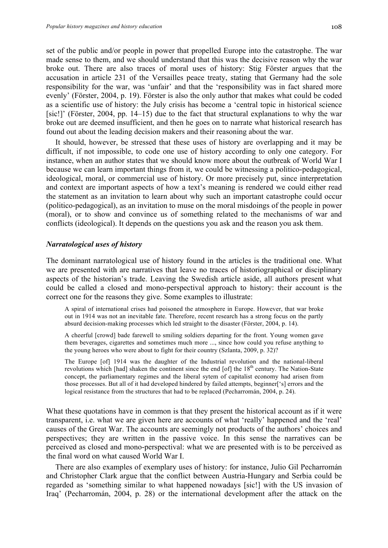set of the public and/or people in power that propelled Europe into the catastrophe. The war made sense to them, and we should understand that this was the decisive reason why the war broke out. There are also traces of moral uses of history: Stig Förster argues that the accusation in article 231 of the Versailles peace treaty, stating that Germany had the sole responsibility for the war, was 'unfair' and that the 'responsibility was in fact shared more evenly' (Förster, 2004, p. 19). Förster is also the only author that makes what could be coded as a scientific use of history: the July crisis has become a 'central topic in historical science [sic!]' (Förster, 2004, pp. 14–15) due to the fact that structural explanations to why the war broke out are deemed insufficient, and then he goes on to narrate what historical research has found out about the leading decision makers and their reasoning about the war.

It should, however, be stressed that these uses of history are overlapping and it may be difficult, if not impossible, to code one use of history according to only one category. For instance, when an author states that we should know more about the outbreak of World War I because we can learn important things from it, we could be witnessing a politico-pedagogical, ideological, moral, or commercial use of history. Or more precisely put, since interpretation and context are important aspects of how a text's meaning is rendered we could either read the statement as an invitation to learn about why such an important catastrophe could occur (politico-pedagogical), as an invitation to muse on the moral misdoings of the people in power (moral), or to show and convince us of something related to the mechanisms of war and conflicts (ideological). It depends on the questions you ask and the reason you ask them.

## *Narratological uses of history*

The dominant narratological use of history found in the articles is the traditional one. What we are presented with are narratives that leave no traces of historiographical or disciplinary aspects of the historian's trade. Leaving the Swedish article aside, all authors present what could be called a closed and mono-perspectival approach to history: their account is the correct one for the reasons they give. Some examples to illustrate:

A spiral of international crises had poisoned the atmosphere in Europe. However, that war broke out in 1914 was not an inevitable fate. Therefore, recent research has a strong focus on the partly absurd decision-making processes which led straight to the disaster (Förster, 2004, p. 14).

A cheerful [crowd] bade farewell to smiling soldiers departing for the front. Young women gave them beverages, cigarettes and sometimes much more ..., since how could you refuse anything to the young heroes who were about to fight for their country (Szlanta, 2009, p. 32)?

The Europe [of] 1914 was the daughter of the Industrial revolution and the national-liberal revolutions which [had] shaken the continent since the end [of] the 18<sup>th</sup> century. The Nation-State concept, the parliamentary regimes and the liberal sytem of capitalist economy had arisen from those processes. But all of it had developed hindered by failed attempts, beginner['s] errors and the logical resistance from the structures that had to be replaced (Pecharromán, 2004, p. 24).

What these quotations have in common is that they present the historical account as if it were transparent, i.e. what we are given here are accounts of what 'really' happened and the 'real' causes of the Great War. The accounts are seemingly not products of the authors' choices and perspectives; they are written in the passive voice. In this sense the narratives can be perceived as closed and mono-perspectival: what we are presented with is to be perceived as the final word on what caused World War I.

There are also examples of exemplary uses of history: for instance, Julio Gil Pecharromán and Christopher Clark argue that the conflict between Austria-Hungary and Serbia could be regarded as 'something similar to what happened nowadays [sic!] with the US invasion of Iraq' (Pecharromán, 2004, p. 28) or the international development after the attack on the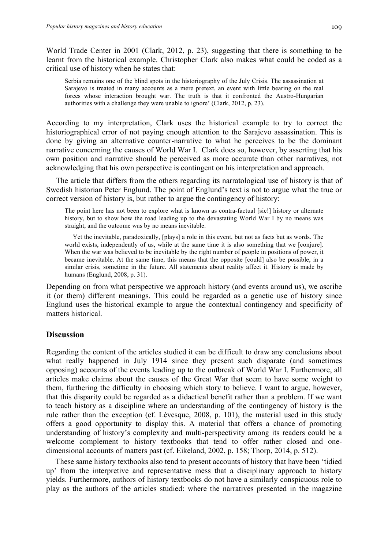World Trade Center in 2001 (Clark, 2012, p. 23), suggesting that there is something to be learnt from the historical example. Christopher Clark also makes what could be coded as a critical use of history when he states that:

Serbia remains one of the blind spots in the historiography of the July Crisis. The assassination at Sarajevo is treated in many accounts as a mere pretext, an event with little bearing on the real forces whose interaction brought war. The truth is that it confronted the Austro-Hungarian authorities with a challenge they were unable to ignore' (Clark, 2012, p. 23).

According to my interpretation, Clark uses the historical example to try to correct the historiographical error of not paying enough attention to the Sarajevo assassination. This is done by giving an alternative counter-narrative to what he perceives to be the dominant narrative concerning the causes of World War I. Clark does so, however, by asserting that his own position and narrative should be perceived as more accurate than other narratives, not acknowledging that his own perspective is contingent on his interpretation and approach.

 The article that differs from the others regarding its narratological use of history is that of Swedish historian Peter Englund. The point of Englund's text is not to argue what the true or correct version of history is, but rather to argue the contingency of history:

The point here has not been to explore what is known as contra-factual [sic!] history or alternate history, but to show how the road leading up to the devastating World War I by no means was straight, and the outcome was by no means inevitable.

 Yet the inevitable, paradoxically, [plays] a role in this event, but not as facts but as words. The world exists, independently of us, while at the same time it is also something that we [conjure]. When the war was believed to be inevitable by the right number of people in positions of power, it became inevitable. At the same time, this means that the opposite [could] also be possible, in a similar crisis, sometime in the future. All statements about reality affect it. History is made by humans (Englund, 2008, p. 31).

Depending on from what perspective we approach history (and events around us), we ascribe it (or them) different meanings. This could be regarded as a genetic use of history since Englund uses the historical example to argue the contextual contingency and specificity of matters historical.

#### **Discussion**

Regarding the content of the articles studied it can be difficult to draw any conclusions about what really happened in July 1914 since they present such disparate (and sometimes opposing) accounts of the events leading up to the outbreak of World War I. Furthermore, all articles make claims about the causes of the Great War that seem to have some weight to them, furthering the difficulty in choosing which story to believe. I want to argue, however, that this disparity could be regarded as a didactical benefit rather than a problem. If we want to teach history as a discipline where an understanding of the contingency of history is the rule rather than the exception (cf. Lévesque, 2008, p. 101), the material used in this study offers a good opportunity to display this. A material that offers a chance of promoting understanding of history's complexity and multi-perspectivity among its readers could be a welcome complement to history textbooks that tend to offer rather closed and onedimensional accounts of matters past (cf. Eikeland, 2002, p. 158; Thorp, 2014, p. 512).

These same history textbooks also tend to present accounts of history that have been 'tidied up' from the interpretive and representative mess that a disciplinary approach to history yields. Furthermore, authors of history textbooks do not have a similarly conspicuous role to play as the authors of the articles studied: where the narratives presented in the magazine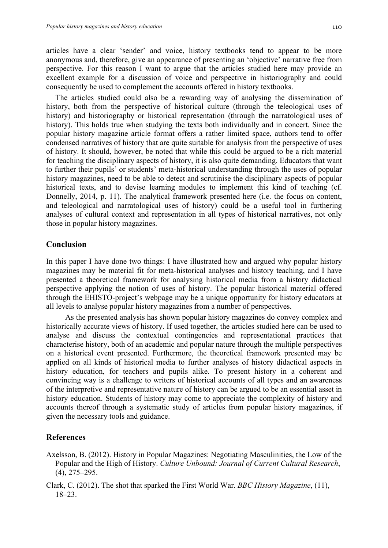articles have a clear 'sender' and voice, history textbooks tend to appear to be more anonymous and, therefore, give an appearance of presenting an 'objective' narrative free from perspective. For this reason I want to argue that the articles studied here may provide an excellent example for a discussion of voice and perspective in historiography and could consequently be used to complement the accounts offered in history textbooks.

The articles studied could also be a rewarding way of analysing the dissemination of history, both from the perspective of historical culture (through the teleological uses of history) and historiography or historical representation (through the narratological uses of history). This holds true when studying the texts both individually and in concert. Since the popular history magazine article format offers a rather limited space, authors tend to offer condensed narratives of history that are quite suitable for analysis from the perspective of uses of history. It should, however, be noted that while this could be argued to be a rich material for teaching the disciplinary aspects of history, it is also quite demanding. Educators that want to further their pupils' or students' meta-historical understanding through the uses of popular history magazines, need to be able to detect and scrutinise the disciplinary aspects of popular historical texts, and to devise learning modules to implement this kind of teaching (cf. Donnelly, 2014, p. 11). The analytical framework presented here (i.e. the focus on content, and teleological and narratological uses of history) could be a useful tool in furthering analyses of cultural context and representation in all types of historical narratives, not only those in popular history magazines.

## **Conclusion**

In this paper I have done two things: I have illustrated how and argued why popular history magazines may be material fit for meta-historical analyses and history teaching, and I have presented a theoretical framework for analysing historical media from a history didactical perspective applying the notion of uses of history. The popular historical material offered through the EHISTO-project's webpage may be a unique opportunity for history educators at all levels to analyse popular history magazines from a number of perspectives.

 As the presented analysis has shown popular history magazines do convey complex and historically accurate views of history. If used together, the articles studied here can be used to analyse and discuss the contextual contingencies and representational practices that characterise history, both of an academic and popular nature through the multiple perspectives on a historical event presented. Furthermore, the theoretical framework presented may be applied on all kinds of historical media to further analyses of history didactical aspects in history education, for teachers and pupils alike. To present history in a coherent and convincing way is a challenge to writers of historical accounts of all types and an awareness of the interpretive and representative nature of history can be argued to be an essential asset in history education. Students of history may come to appreciate the complexity of history and accounts thereof through a systematic study of articles from popular history magazines, if given the necessary tools and guidance.

# **References**

- Axelsson, B. (2012). History in Popular Magazines: Negotiating Masculinities, the Low of the Popular and the High of History. *Culture Unbound: Journal of Current Cultural Research*, (4), 275–295.
- Clark, C. (2012). The shot that sparked the First World War. *BBC History Magazine*, (11), 18–23.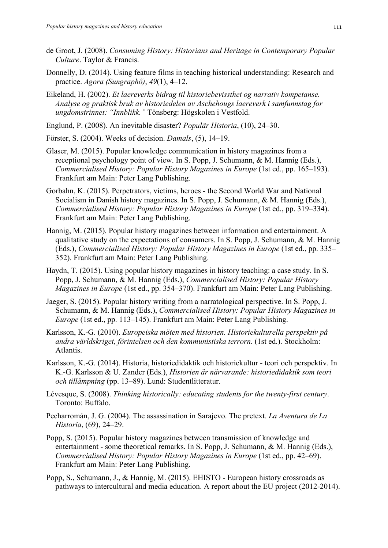- de Groot, J. (2008). *Consuming History: Historians and Heritage in Contemporary Popular Culture*. Taylor & Francis.
- Donnelly, D. (2014). Using feature films in teaching historical understanding: Research and practice. *Agora (Sungraphô)*, *49*(1), 4–12.
- Eikeland, H. (2002). *Et laereverks bidrag til historiebevissthet og narrativ kompetanse. Analyse og praktisk bruk av historiedelen av Aschehougs laereverk i samfunnstag for ungdomstrinnet: "Innblikk."* Tönsberg: Högskolen i Vestfold.
- Englund, P. (2008). An inevitable disaster? *Populär Historia*, (10), 24–30.
- Förster, S. (2004). Weeks of decision. *Damals*, (5), 14–19.
- Glaser, M. (2015). Popular knowledge communication in history magazines from a receptional psychology point of view. In S. Popp, J. Schumann, & M. Hannig (Eds.), *Commercialised History: Popular History Magazines in Europe* (1st ed., pp. 165–193). Frankfurt am Main: Peter Lang Publishing.
- Gorbahn, K. (2015). Perpetrators, victims, heroes the Second World War and National Socialism in Danish history magazines. In S. Popp, J. Schumann, & M. Hannig (Eds.), *Commercialised History: Popular History Magazines in Europe* (1st ed., pp. 319–334). Frankfurt am Main: Peter Lang Publishing.
- Hannig, M. (2015). Popular history magazines between information and entertainment. A qualitative study on the expectations of consumers. In S. Popp, J. Schumann, & M. Hannig (Eds.), *Commercialised History: Popular History Magazines in Europe* (1st ed., pp. 335– 352). Frankfurt am Main: Peter Lang Publishing.
- Haydn, T. (2015). Using popular history magazines in history teaching: a case study. In S. Popp, J. Schumann, & M. Hannig (Eds.), *Commercialised History: Popular History Magazines in Europe* (1st ed., pp. 354–370). Frankfurt am Main: Peter Lang Publishing.
- Jaeger, S. (2015). Popular history writing from a narratological perspective. In S. Popp, J. Schumann, & M. Hannig (Eds.), *Commercialised History: Popular History Magazines in Europe* (1st ed., pp. 113–145). Frankfurt am Main: Peter Lang Publishing.
- Karlsson, K.-G. (2010). *Europeiska möten med historien. Historiekulturella perspektiv på andra världskriget, förintelsen och den kommunistiska terrorn.* (1st ed.). Stockholm: Atlantis.
- Karlsson, K.-G. (2014). Historia, historiedidaktik och historiekultur teori och perspektiv. In K.-G. Karlsson & U. Zander (Eds.), *Historien är närvarande: historiedidaktik som teori och tillämpning* (pp. 13–89). Lund: Studentlitteratur.
- Lévesque, S. (2008). *Thinking historically: educating students for the twenty-first century*. Toronto: Buffalo.
- Pecharromán, J. G. (2004). The assassination in Sarajevo. The pretext. *La Aventura de La Historia*, (69), 24–29.
- Popp, S. (2015). Popular history magazines between transmission of knowledge and entertainment - some theoretical remarks. In S. Popp, J. Schumann, & M. Hannig (Eds.), *Commercialised History: Popular History Magazines in Europe* (1st ed., pp. 42–69). Frankfurt am Main: Peter Lang Publishing.
- Popp, S., Schumann, J., & Hannig, M. (2015). EHISTO European history crossroads as pathways to intercultural and media education. A report about the EU project (2012-2014).